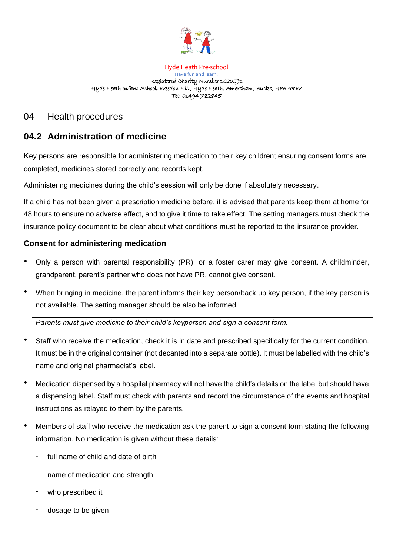

Hyde Heath Pre-school Have fun and learn! Registered Charity Number 1020591 Hyde Heath Infant School, Weedon Hill, Hyde Heath, Amersham, Bucks, HP6 5RW Tel: 01494 782845

# 04 Health procedures

# **04.2 Administration of medicine**

Key persons are responsible for administering medication to their key children; ensuring consent forms are completed, medicines stored correctly and records kept.

Administering medicines during the child's session will only be done if absolutely necessary.

If a child has not been given a prescription medicine before, it is advised that parents keep them at home for 48 hours to ensure no adverse effect, and to give it time to take effect. The setting managers must check the insurance policy document to be clear about what conditions must be reported to the insurance provider.

# **Consent for administering medication**

- Only a person with parental responsibility (PR), or a foster carer may give consent. A childminder, grandparent, parent's partner who does not have PR, cannot give consent.
- When bringing in medicine, the parent informs their key person/back up key person, if the key person is not available. The setting manager should be also be informed.

*Parents must give medicine to their child's keyperson and sign a consent form.* 

- Staff who receive the medication, check it is in date and prescribed specifically for the current condition. It must be in the original container (not decanted into a separate bottle). It must be labelled with the child's name and original pharmacist's label.
- Medication dispensed by a hospital pharmacy will not have the child's details on the label but should have a dispensing label. Staff must check with parents and record the circumstance of the events and hospital instructions as relayed to them by the parents.
- Members of staff who receive the medication ask the parent to sign a consent form stating the following information. No medication is given without these details:
	- full name of child and date of birth
	- name of medication and strength
	- who prescribed it
	- dosage to be given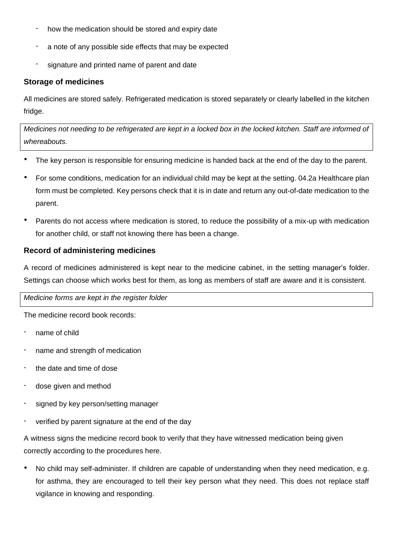- how the medication should be stored and expiry date
- a note of any possible side effects that may be expected
- signature and printed name of parent and date

### **Storage of medicines**

All medicines are stored safely. Refrigerated medication is stored separately or clearly labelled in the kitchen fridge.

*Medicines not needing to be refrigerated are kept in a locked box in the locked kitchen. Staff are informed of whereabouts.* 

- The key person is responsible for ensuring medicine is handed back at the end of the day to the parent.
- For some conditions, medication for an individual child may be kept at the setting. 04.2a Healthcare plan form must be completed. Key persons check that it is in date and return any out-of-date medication to the parent.
- Parents do not access where medication is stored, to reduce the possibility of a mix-up with medication for another child, or staff not knowing there has been a change.

### **Record of administering medicines**

A record of medicines administered is kept near to the medicine cabinet, in the setting manager's folder. Settings can choose which works best for them, as long as members of staff are aware and it is consistent.

#### *Medicine forms are kept in the register folder*

The medicine record book records:

- name of child
- name and strength of medication
- the date and time of dose
- dose given and method
- signed by key person/setting manager
- verified by parent signature at the end of the day

A witness signs the medicine record book to verify that they have witnessed medication being given correctly according to the procedures here.

• No child may self-administer. If children are capable of understanding when they need medication, e.g. for asthma, they are encouraged to tell their key person what they need. This does not replace staff vigilance in knowing and responding.